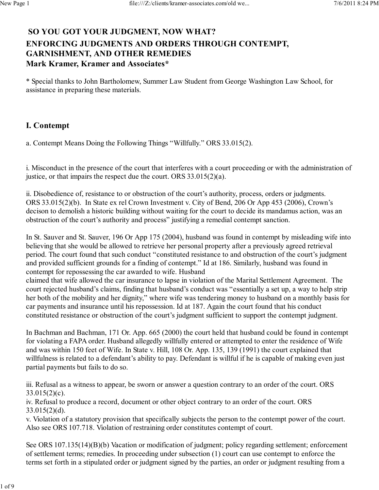## **SO YOU GOT YOUR JUDGMENT, NOW WHAT? ENFORCING JUDGMENTS AND ORDERS THROUGH CONTEMPT, GARNISHMENT, AND OTHER REMEDIES Mark Kramer, Kramer and Associates\***

\* Special thanks to John Bartholomew, Summer Law Student from George Washington Law School, for assistance in preparing these materials.

## **I. Contempt**

a. Contempt Means Doing the Following Things "Willfully." ORS 33.015(2).

i. Misconduct in the presence of the court that interferes with a court proceeding or with the administration of justice, or that impairs the respect due the court. ORS 33.015(2)(a).

ii. Disobedience of, resistance to or obstruction of the court's authority, process, orders or judgments. ORS 33.015(2)(b). In State ex rel Crown Investment v. City of Bend, 206 Or App 453 (2006), Crown's decison to demolish a historic building without waiting for the court to decide its mandamus action, was an obstruction of the court's authority and process" justifying a remedial contempt sanction.

In St. Sauver and St. Sauver, 196 Or App 175 (2004), husband was found in contempt by misleading wife into believing that she would be allowed to retrieve her personal property after a previously agreed retrieval period. The court found that such conduct "constituted resistance to and obstruction of the court's judgment and provided sufficient grounds for a finding of contempt." Id at 186. Similarly, husband was found in contempt for repossessing the car awarded to wife. Husband

claimed that wife allowed the car insurance to lapse in violation of the Marital Settlement Agreement. The court rejected husband's claims, finding that husband's conduct was "essentially a set up, a way to help strip her both of the mobility and her dignity," where wife was tendering money to husband on a monthly basis for car payments and insurance until his repossession. Id at 187. Again the court found that his conduct constituted resistance or obstruction of the court's judgment sufficient to support the contempt judgment.

In Bachman and Bachman, 171 Or. App. 665 (2000) the court held that husband could be found in contempt for violating a FAPA order. Husband allegedly willfully entered or attempted to enter the residence of Wife and was within 150 feet of Wife. In State v. Hill, 108 Or. App. 135, 139 (1991) the court explained that willfulness is related to a defendant's ability to pay. Defendant is willful if he is capable of making even just partial payments but fails to do so.

iii. Refusal as a witness to appear, be sworn or answer a question contrary to an order of the court. ORS 33.015(2)(c).

iv. Refusal to produce a record, document or other object contrary to an order of the court. ORS 33.015(2)(d).

v. Violation of a statutory provision that specifically subjects the person to the contempt power of the court. Also see ORS 107.718. Violation of restraining order constitutes contempt of court.

See ORS 107.135(14)(B)(b) Vacation or modification of judgment; policy regarding settlement; enforcement of settlement terms; remedies. In proceeding under subsection (1) court can use contempt to enforce the terms set forth in a stipulated order or judgment signed by the parties, an order or judgment resulting from a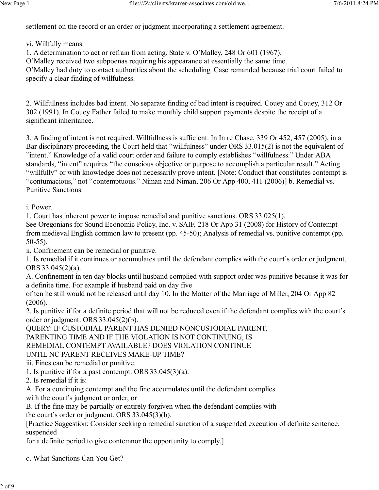settlement on the record or an order or judgment incorporating a settlement agreement.

vi. Willfully means:

1. A determination to act or refrain from acting. State v. O'Malley, 248 Or 601 (1967).

O'Malley received two subpoenas requiring his appearance at essentially the same time.

O'Malley had duty to contact authorities about the scheduling. Case remanded because trial court failed to specify a clear finding of willfulness.

2. Willfullness includes bad intent. No separate finding of bad intent is required. Couey and Couey, 312 Or 302 (1991). In Couey Father failed to make monthly child support payments despite the receipt of a significant inheritance.

3. A finding of intent is not required. Willfullness is sufficient. In In re Chase, 339 Or 452, 457 (2005), in a Bar disciplinary proceeding, the Court held that "willfulness" under ORS 33.015(2) is not the equivalent of "intent." Knowledge of a valid court order and failure to comply establishes "willfulness." Under ABA standards, "intent" requires "the conscious objective or purpose to accomplish a particular result." Acting "willfully" or with knowledge does not necessarily prove intent. [Note: Conduct that constitutes contempt is "contumacious," not "contemptuous." Niman and Niman, 206 Or App 400, 411 (2006)] b. Remedial vs. Punitive Sanctions.

i. Power.

1. Court has inherent power to impose remedial and punitive sanctions. ORS 33.025(1).

See Oregonians for Sound Economic Policy, Inc. v. SAIF, 218 Or App 31 (2008) for History of Contempt from medieval English common law to present (pp. 45-50); Analysis of remedial vs. punitive contempt (pp. 50-55).

ii. Confinement can be remedial or punitive.

1. Is remedial if it continues or accumulates until the defendant complies with the court's order or judgment. ORS 33.045(2)(a).

A. Confinement in ten day blocks until husband complied with support order was punitive because it was for a definite time. For example if husband paid on day five

of ten he still would not be released until day 10. In the Matter of the Marriage of Miller, 204 Or App 82 (2006).

2. Is punitive if for a definite period that will not be reduced even if the defendant complies with the court's order or judgment. ORS 33.045(2)(b).

QUERY: IF CUSTODIAL PARENT HAS DENIED NONCUSTODIAL PARENT,

PARENTING TIME AND IF THE VIOLATION IS NOT CONTINUING, IS

REMEDIAL CONTEMPT AVAILABLE? DOES VIOLATION CONTINUE

UNTIL NC PARENT RECEIVES MAKE-UP TIME?

iii. Fines can be remedial or punitive.

1. Is punitive if for a past contempt. ORS 33.045(3)(a).

2. Is remedial if it is:

A. For a continuing contempt and the fine accumulates until the defendant complies with the court's judgment or order, or

B. If the fine may be partially or entirely forgiven when the defendant complies with the court's order or judgment. ORS 33.045(3)(b).

[Practice Suggestion: Consider seeking a remedial sanction of a suspended execution of definite sentence, suspended

for a definite period to give contemnor the opportunity to comply.]

c. What Sanctions Can You Get?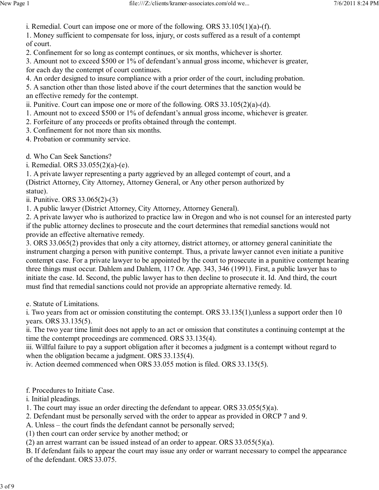i. Remedial. Court can impose one or more of the following. ORS 33.105(1)(a)-(f).

1. Money sufficient to compensate for loss, injury, or costs suffered as a result of a contempt of court.

2. Confinement for so long as contempt continues, or six months, whichever is shorter.

3. Amount not to exceed \$500 or 1% of defendant's annual gross income, whichever is greater, for each day the contempt of court continues.

4. An order designed to insure compliance with a prior order of the court, including probation.

5. A sanction other than those listed above if the court determines that the sanction would be an effective remedy for the contempt.

ii. Punitive. Court can impose one or more of the following. ORS 33.105(2)(a)-(d).

1. Amount not to exceed \$500 or 1% of defendant's annual gross income, whichever is greater.

2. Forfeiture of any proceeds or profits obtained through the contempt.

3. Confinement for not more than six months.

4. Probation or community service.

d. Who Can Seek Sanctions?

i. Remedial. ORS 33.055(2)(a)-(e).

1. A private lawyer representing a party aggrieved by an alleged contempt of court, and a (District Attorney, City Attorney, Attorney General, or Any other person authorized by statue).

ii. Punitive. ORS 33.065(2)-(3)

1. A public lawyer (District Attorney, City Attorney, Attorney General).

2. A private lawyer who is authorized to practice law in Oregon and who is not counsel for an interested party if the public attorney declines to prosecute and the court determines that remedial sanctions would not provide an effective alternative remedy.

3. ORS 33.065(2) provides that only a city attorney, district attorney, or attorney general caninitiate the instrument charging a person with punitive contempt. Thus, a private lawyer cannot even initiate a punitive contempt case. For a private lawyer to be appointed by the court to prosecute in a punitive contempt hearing three things must occur. Dahlem and Dahlem, 117 Or. App. 343, 346 (1991). First, a public lawyer has to initiate the case. Id. Second, the public lawyer has to then decline to prosecute it. Id. And third, the court must find that remedial sanctions could not provide an appropriate alternative remedy. Id.

e. Statute of Limitations.

i. Two years from act or omission constituting the contempt. ORS 33.135(1),unless a support order then 10 years. ORS 33.135(5).

ii. The two year time limit does not apply to an act or omission that constitutes a continuing contempt at the time the contempt proceedings are commenced. ORS 33.135(4).

iii. Willful failure to pay a support obligation after it becomes a judgment is a contempt without regard to when the obligation became a judgment. ORS 33.135(4).

iv. Action deemed commenced when ORS 33.055 motion is filed. ORS 33.135(5).

f. Procedures to Initiate Case.

i. Initial pleadings.

1. The court may issue an order directing the defendant to appear. ORS 33.055(5)(a).

2. Defendant must be personally served with the order to appear as provided in ORCP 7 and 9.

A. Unless – the court finds the defendant cannot be personally served;

(1) then court can order service by another method; or

(2) an arrest warrant can be issued instead of an order to appear. ORS 33.055(5)(a).

B. If defendant fails to appear the court may issue any order or warrant necessary to compel the appearance of the defendant. ORS 33.075.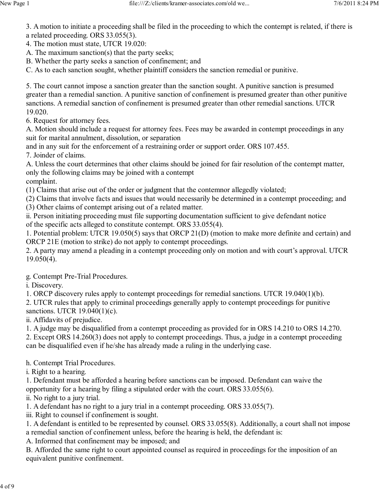3. A motion to initiate a proceeding shall be filed in the proceeding to which the contempt is related, if there is a related proceeding. ORS 33.055(3).

4. The motion must state, UTCR 19.020:

A. The maximum sanction(s) that the party seeks;

B. Whether the party seeks a sanction of confinement; and

C. As to each sanction sought, whether plaintiff considers the sanction remedial or punitive.

5. The court cannot impose a sanction greater than the sanction sought. A punitive sanction is presumed greater than a remedial sanction. A punitive sanction of confinement is presumed greater than other punitive sanctions. A remedial sanction of confinement is presumed greater than other remedial sanctions. UTCR 19.020.

6. Request for attorney fees.

A. Motion should include a request for attorney fees. Fees may be awarded in contempt proceedings in any suit for marital annulment, dissolution, or separation

and in any suit for the enforcement of a restraining order or support order. ORS 107.455.

7. Joinder of claims.

A. Unless the court determines that other claims should be joined for fair resolution of the contempt matter, only the following claims may be joined with a contempt complaint.

(1) Claims that arise out of the order or judgment that the contemnor allegedly violated;

(2) Claims that involve facts and issues that would necessarily be determined in a contempt proceeding; and

(3) Other claims of contempt arising out of a related matter.

ii. Person initiating proceeding must file supporting documentation sufficient to give defendant notice of the specific acts alleged to constitute contempt. ORS 33.055(4).

1. Potential problem: UTCR 19.050(5) says that ORCP 21(D) (motion to make more definite and certain) and ORCP 21E (motion to strike) do not apply to contempt proceedings.

2. A party may amend a pleading in a contempt proceeding only on motion and with court's approval. UTCR 19.050(4).

g. Contempt Pre-Trial Procedures.

i. Discovery.

1. ORCP discovery rules apply to contempt proceedings for remedial sanctions. UTCR 19.040(1)(b).

2. UTCR rules that apply to criminal proceedings generally apply to contempt proceedings for punitive sanctions. UTCR 19.040(1)(c).

ii. Affidavits of prejudice.

1. A judge may be disqualified from a contempt proceeding as provided for in ORS 14.210 to ORS 14.270.

2. Except ORS 14.260(3) does not apply to contempt proceedings. Thus, a judge in a contempt proceeding can be disqualified even if he/she has already made a ruling in the underlying case.

h. Contempt Trial Procedures.

i. Right to a hearing.

1. Defendant must be afforded a hearing before sanctions can be imposed. Defendant can waive the opportunity for a hearing by filing a stipulated order with the court. ORS 33.055(6).

ii. No right to a jury trial.

1. A defendant has no right to a jury trial in a contempt proceeding. ORS 33.055(7).

iii. Right to counsel if confinement is sought.

1. A defendant is entitled to be represented by counsel. ORS 33.055(8). Additionally, a court shall not impose a remedial sanction of confinement unless, before the hearing is held, the defendant is:

A. Informed that confinement may be imposed; and

B. Afforded the same right to court appointed counsel as required in proceedings for the imposition of an equivalent punitive confinement.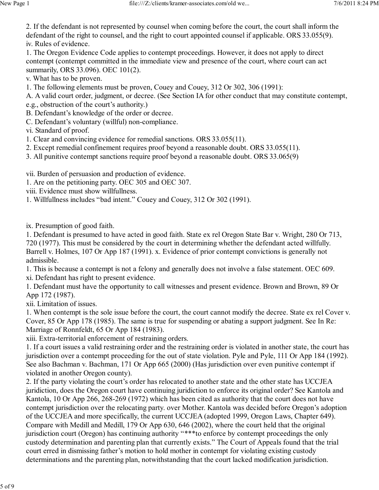2. If the defendant is not represented by counsel when coming before the court, the court shall inform the defendant of the right to counsel, and the right to court appointed counsel if applicable. ORS 33.055(9). iv. Rules of evidence.

1. The Oregon Evidence Code applies to contempt proceedings. However, it does not apply to direct contempt (contempt committed in the immediate view and presence of the court, where court can act summarily, ORS 33.096). OEC 101(2).

v. What has to be proven.

1. The following elements must be proven, Couey and Couey, 312 Or 302, 306 (1991):

A. A valid court order, judgment, or decree. (See Section IA for other conduct that may constitute contempt, e.g., obstruction of the court's authority.)

- B. Defendant's knowledge of the order or decree.
- C. Defendant's voluntary (willful) non-compliance.

vi. Standard of proof.

- 1. Clear and convincing evidence for remedial sanctions. ORS 33.055(11).
- 2. Except remedial confinement requires proof beyond a reasonable doubt. ORS 33.055(11).
- 3. All punitive contempt sanctions require proof beyond a reasonable doubt. ORS 33.065(9)

vii. Burden of persuasion and production of evidence.

1. Are on the petitioning party. OEC 305 and OEC 307.

viii. Evidence must show willfullness.

1. Willfullness includes "bad intent." Couey and Couey, 312 Or 302 (1991).

ix. Presumption of good faith.

1. Defendant is presumed to have acted in good faith. State ex rel Oregon State Bar v. Wright, 280 Or 713, 720 (1977). This must be considered by the court in determining whether the defendant acted willfully. Barrell v. Holmes, 107 Or App 187 (1991). x. Evidence of prior contempt convictions is generally not admissible.

1. This is because a contempt is not a felony and generally does not involve a false statement. OEC 609.

xi. Defendant has right to present evidence.

1. Defendant must have the opportunity to call witnesses and present evidence. Brown and Brown, 89 Or App 172 (1987).

xii. Limitation of issues.

1. When contempt is the sole issue before the court, the court cannot modify the decree. State ex rel Cover v. Cover, 85 Or App 178 (1985). The same is true for suspending or abating a support judgment. See In Re: Marriage of Ronnfeldt, 65 Or App 184 (1983).

xiii. Extra-territorial enforcement of restraining orders.

1. If a court issues a valid restraining order and the restraining order is violated in another state, the court has jurisdiction over a contempt proceeding for the out of state violation. Pyle and Pyle, 111 Or App 184 (1992). See also Bachman v. Bachman, 171 Or App 665 (2000) (Has jurisdiction over even punitive contempt if violated in another Oregon county).

2. If the party violating the court's order has relocated to another state and the other state has UCCJEA juridiction, does the Oregon court have continuing juridiction to enforce its original order? See Kantola and Kantola, 10 Or App 266, 268-269 (1972) which has been cited as authority that the court does not have contempt jurisdiction over the relocating party. over Mother. Kantola was decided before Oregon's adoption of the UCCJEA and more specifically, the current UCCJEA (adopted 1999, Oregon Laws, Chapter 649). Compare with Medill and Medill, 179 Or App 630, 646 (2002), where the court held that the original jurisdiction court (Oregon) has continuing authority "\*\*\*to enforce by contempt proceedings the only custody determination and parenting plan that currently exists." The Court of Appeals found that the trial court erred in dismissing father's motion to hold mother in contempt for violating existing custody determinations and the parenting plan, notwithstanding that the court lacked modification jurisdiction.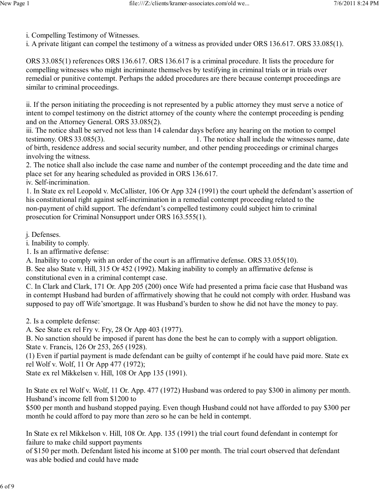- i. Compelling Testimony of Witnesses.
- i. A private litigant can compel the testimony of a witness as provided under ORS 136.617. ORS 33.085(1).

ORS 33.085(1) references ORS 136.617. ORS 136.617 is a criminal procedure. It lists the procedure for compelling witnesses who might incriminate themselves by testifying in criminal trials or in trials over remedial or punitive contempt. Perhaps the added procedures are there because contempt proceedings are similar to criminal proceedings.

ii. If the person initiating the proceeding is not represented by a public attorney they must serve a notice of intent to compel testimony on the district attorney of the county where the contempt proceeding is pending and on the Attorney General. ORS 33.085(2).

iii. The notice shall be served not less than 14 calendar days before any hearing on the motion to compel testimony. ORS 33.085(3). 1. The notice shall include the witnesses name, date of birth, residence address and social security number, and other pending proceedings or criminal charges involving the witness.

2. The notice shall also include the case name and number of the contempt proceeding and the date time and place set for any hearing scheduled as provided in ORS 136.617. iv. Self-incrimination.

1. In State ex rel Leopold v. McCallister, 106 Or App 324 (1991) the court upheld the defendant's assertion of his constitutional right against self-incrimination in a remedial contempt proceeding related to the non-payment of child support. The defendant's compelled testimony could subject him to criminal prosecution for Criminal Nonsupport under ORS 163.555(1).

j. Defenses.

i. Inability to comply.

1. Is an affirmative defense:

A. Inability to comply with an order of the court is an affirmative defense. ORS 33.055(10).

B. See also State v. Hill, 315 Or 452 (1992). Making inability to comply an affirmative defense is constitutional even in a criminal contempt case.

C. In Clark and Clark, 171 Or. App 205 (200) once Wife had presented a prima facie case that Husband was in contempt Husband had burden of affirmatively showing that he could not comply with order. Husband was supposed to pay off Wife'smortgage. It was Husband's burden to show he did not have the money to pay.

2. Is a complete defense:

A. See State ex rel Fry v. Fry, 28 Or App 403 (1977).

B. No sanction should be imposed if parent has done the best he can to comply with a support obligation. State v. Francis, 126 Or 253, 265 (1928).

(1) Even if partial payment is made defendant can be guilty of contempt if he could have paid more. State ex rel Wolf v. Wolf, 11 Or App 477 (1972);

State ex rel Mikkelsen v. Hill, 108 Or App 135 (1991).

In State ex rel Wolf v. Wolf, 11 Or. App. 477 (1972) Husband was ordered to pay \$300 in alimony per month. Husband's income fell from \$1200 to

\$500 per month and husband stopped paying. Even though Husband could not have afforded to pay \$300 per month he could afford to pay more than zero so he can be held in contempt.

In State ex rel Mikkelson v. Hill, 108 Or. App. 135 (1991) the trial court found defendant in contempt for failure to make child support payments

of \$150 per moth. Defendant listed his income at \$100 per month. The trial court observed that defendant was able bodied and could have made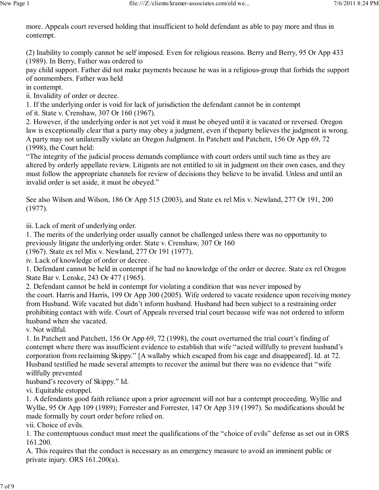more. Appeals court reversed holding that insufficient to hold defendant as able to pay more and thus in contempt.

(2) Inability to comply cannot be self imposed. Even for religious reasons. Berry and Berry, 95 Or App 433 (1989). In Berry, Father was ordered to

pay child support. Father did not make payments because he was in a religious-group that forbids the support of nonmembers. Father was held

in contempt.

ii. Invalidity of order or decree.

1. If the underlying order is void for lack of jurisdiction the defendant cannot be in contempt of it. State v. Crenshaw, 307 Or 160 (1967).

2. However, if the underlying order is not yet void it must be obeyed until it is vacated or reversed. Oregon law is exceptionally clear that a party may obey a judgment, even if theparty believes the judgment is wrong. A party may not unilaterally violate an Oregon Judgment. In Patchett and Patchett, 156 Or App 69, 72 (1998), the Court held:

"The integrity of the judicial process demands compliance with court orders until such time as they are altered by orderly appellate review. Litigants are not entitled to sit in judgment on their own cases, and they must follow the appropriate channels for review of decisions they believe to be invalid. Unless and until an invalid order is set aside, it must be obeyed."

See also Wilson and Wilson, 186 Or App 515 (2003), and State ex rel Mix v. Newland, 277 Or 191, 200 (1977).

iii. Lack of merit of underlying order.

1. The merits of the underlying order usually cannot be challenged unless there was no opportunity to previously litigate the underlying order. State v. Crenshaw, 307 Or 160

(1967). State ex rel Mix v. Newland, 277 Or 191 (1977).

iv. Lack of knowledge of order or decree.

1. Defendant cannot be held in contempt if he had no knowledge of the order or decree. State ex rel Oregon State Bar v. Lenske, 243 Or 477 (1965).

2. Defendant cannot be held in contempt for violating a condition that was never imposed by the court. Harris and Harris, 199 Or App 300 (2005). Wife ordered to vacate residence upon receiving money from Husband. Wife vacated but didn't inform husband. Husband had been subject to a restraining order prohibiting contact with wife. Court of Appeals reversed trial court because wife was not ordered to inform husband when she vacated.

v. Not willful.

1. In Patchett and Patchett, 156 Or App 69, 72 (1998), the court overturned the trial court's finding of contempt where there was insufficient evidence to establish that wife "acted willfully to prevent husband's corporation from reclaiming Skippy." [A wallaby which escaped from his cage and disappeared]. Id. at 72. Husband testified he made several attempts to recover the animal but there was no evidence that "wife willfully prevented

husband's recovery of Skippy." Id.

vi. Equitable estoppel.

1. A defendants good faith reliance upon a prior agreement will not bar a contempt proceeding. Wyllie and Wyllie, 95 Or App 109 (1989); Forrester and Forrester, 147 Or App 319 (1997). So modifications should be made formally by court order before relied on.

vii. Choice of evils.

1. The contemptuous conduct must meet the qualifications of the "choice of evils" defense as set out in ORS 161.200.

A. This requires that the conduct is necessary as an emergency measure to avoid an imminent public or private injury. ORS 161.200(a).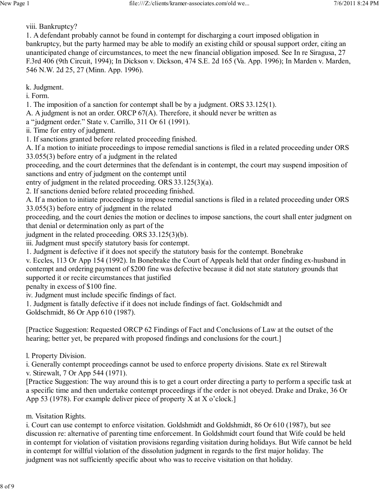viii. Bankruptcy?

1. A defendant probably cannot be found in contempt for discharging a court imposed obligation in bankruptcy, but the party harmed may be able to modify an existing child or spousal support order, citing an unanticipated change of circumstances, to meet the new financial obligation imposed. See In re Siragusa, 27 F.3rd 406 (9th Circuit, 1994); In Dickson v. Dickson, 474 S.E. 2d 165 (Va. App. 1996); In Marden v. Marden, 546 N.W. 2d 25, 27 (Minn. App. 1996).

k. Judgment.

i. Form.

1. The imposition of a sanction for contempt shall be by a judgment. ORS 33.125(1).

A. A judgment is not an order. ORCP 67(A). Therefore, it should never be written as

a "judgment order." State v. Carrillo, 311 Or 61 (1991).

ii. Time for entry of judgment.

1. If sanctions granted before related proceeding finished.

A. If a motion to initiate proceedings to impose remedial sanctions is filed in a related proceeding under ORS 33.055(3) before entry of a judgment in the related

proceeding, and the court determines that the defendant is in contempt, the court may suspend imposition of sanctions and entry of judgment on the contempt until

entry of judgment in the related proceeding. ORS 33.125(3)(a).

2. If sanctions denied before related proceeding finished.

A. If a motion to initiate proceedings to impose remedial sanctions is filed in a related proceeding under ORS 33.055(3) before entry of judgment in the related

proceeding, and the court denies the motion or declines to impose sanctions, the court shall enter judgment on that denial or determination only as part of the

judgment in the related proceeding. ORS 33.125(3)(b).

iii. Judgment must specify statutory basis for contempt.

1. Judgment is defective if it does not specify the statutory basis for the contempt. Bonebrake

v. Eccles, 113 Or App 154 (1992). In Bonebrake the Court of Appeals held that order finding ex-husband in contempt and ordering payment of \$200 fine was defective because it did not state statutory grounds that supported it or recite circumstances that justified

penalty in excess of \$100 fine.

iv. Judgment must include specific findings of fact.

1. Judgment is fatally defective if it does not include findings of fact. Goldschmidt and Goldschmidt, 86 Or App 610 (1987).

[Practice Suggestion: Requested ORCP 62 Findings of Fact and Conclusions of Law at the outset of the hearing; better yet, be prepared with proposed findings and conclusions for the court.]

l. Property Division.

i. Generally contempt proceedings cannot be used to enforce property divisions. State ex rel Stirewalt

v. Stirewalt, 7 Or App 544 (1971).

[Practice Suggestion: The way around this is to get a court order directing a party to perform a specific task at a specific time and then undertake contempt proceedings if the order is not obeyed. Drake and Drake, 36 Or App 53 (1978). For example deliver piece of property X at X o'clock.]

## m. Visitation Rights.

i. Court can use contempt to enforce visitation. Goldshmidt and Goldshmidt, 86 Or 610 (1987), but see discussion re: alternative of parenting time enforcement. In Goldshmidt court found that Wife could be held in contempt for violation of visitation provisions regarding visitation during holidays. But Wife cannot be held in contempt for willful violation of the dissolution judgment in regards to the first major holiday. The judgment was not sufficiently specific about who was to receive visitation on that holiday.